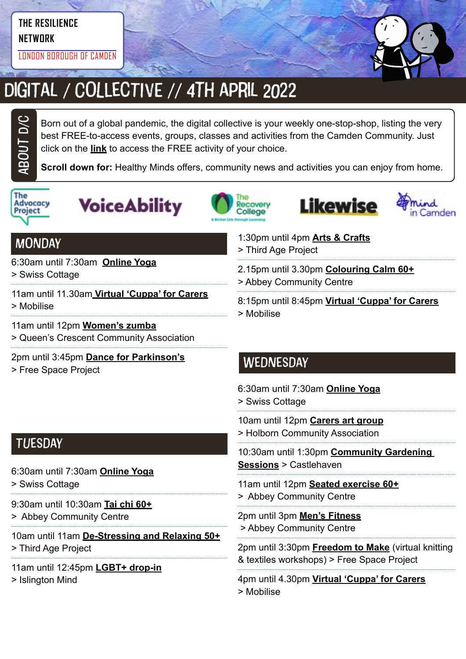# **THE RESILIENCE**

**NETWORK**

LONDON BOROUGH OF CAMDEN



# DIGITAL / COLLECTIVE // 4TH APRIL 2022

Born out of a global pandemic, the digital collective is your weekly one-stop-shop, listing the very best FREE-to-access events, groups, classes and activities from the Camden Community. Just click on the **link** to access the FREE activity of your choice.

**Scroll down for:** Healthy Minds offers, community news and activities you can enjoy from home.



ABOUt D/C









## **MONDAY**

6:30am until 7:30am **[Online Yoga](https://yourswiss.org/)**

> Swiss Cottage

- 11am until 11.30am **[Virtual 'Cuppa' for Carers](https://www.mobiliseonline.co.uk/cuppa)**
- > Mobilise
- 11am until 12pm **[Women's zumba](https://twitter.com/QCCA_ltd/status/1441030606608027653/photo/1)**
- > Queen's Crescent Community Association
- 2pm until 3:45pm **[Dance for Parkinson's](https://www.freespaceproject.org/blog/dance-for-parkinsons)**
- > Free Space Project

#### 1:30pm until 4pm **[Arts & Crafts](https://twitter.com/ThirdAgeProject/status/1483392643849756675/photo/2)** > Third Age Project

- 2.15pm until 3.30pm **[Colouring Calm 60+](https://abbeycc-kilburn.org.uk/wp-content/uploads/2020/03/January-2022-programme.pdf)**
- > Abbey Community Centre
- 8:15pm until 8:45pm **[Virtual 'Cuppa' for Carers](https://www.mobiliseonline.co.uk/cuppa)** > Mobilise

## **WEDNESDAY**

6:30am until 7:30am **[Online Yoga](https://yourswiss.org/)** > Swiss Cottage

- 10am until 12pm **[Carers art group](https://www.holborncommunity.co.uk/events/carers-art-group-2021-04-07/)**
- > Holborn Community Association

10:30am until 1:30pm **[Community Gardening](https://www.castlehaven.org.uk/whats-on/event/1459/)  [Sessions](https://www.castlehaven.org.uk/whats-on/event/1459/)** > Castlehaven

11am until 12pm **[Seated exercise 60+](https://abbeycc-kilburn.org.uk/wp-content/uploads/2020/03/January-2022-programme.pdf)**

> Abbey Community Centre

2pm until 3pm **[Men's Fitness](mailto:https://abbeycc-kilburn.org.uk/wp-content/uploads/2020/03/January-2022-programme.pdf?subject=Men%27s%20fitness)** > Abbey Community Centre

2pm until 3:30pm **[Freedom to Make](https://www.freespaceproject.org/projects/freedomtomake)** (virtual knitting & textiles workshops) > Free Space Project

4pm until 4.30pm **[Virtual 'Cuppa' for Carers](https://www.mobiliseonline.co.uk/cuppa)** > Mobilise

# **TUESDAY**

- 6:30am until 7:30am **[Online Yoga](https://yourswiss.org/)**
- > Swiss Cottage
- 9:30am until 10:30am **[Tai chi 60+](https://abbeycc-kilburn.org.uk/wp-content/uploads/2020/03/January-2022-programme.pdf)**
- > Abbey Community Centre

10am until 11am **[De-Stressing and Relaxing 50+](https://mcusercontent.com/ea2facf10e2b0030d86ac8775/images/7b7e1a43-b1d4-46e2-9a1c-220235255224.jpg?fbclid=IwAR3OeQ_6KX5rCiRFaTvQ2osfj66ekG8CeO0OVWDTfpWugvLoPIhuUhJObyU)** > Third Age Project

11am until 12:45pm **[LGBT+ drop-in](https://www.islingtonmind.org.uk/our-services/mhrp/virtual-support-services/)** > Islington Mind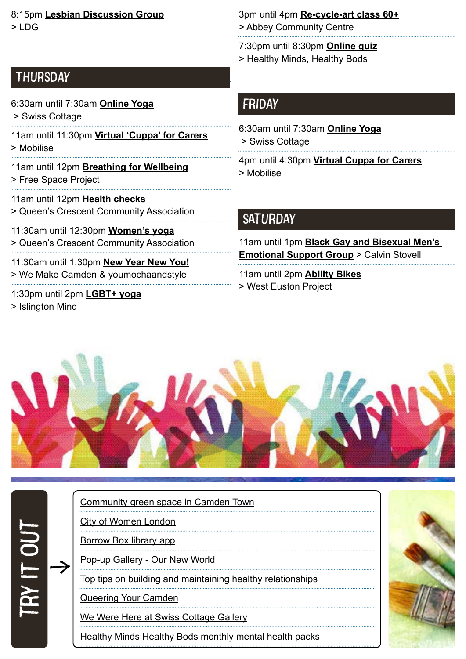8:15pm **[Lesbian Discussion Group](https://www.lesbiandiscussiongroup.com/)**  $>1$  DG

#### THURSDAY

- 6:30am until 7:30am **[Online Yoga](https://yourswiss.org/)** > Swiss Cottage
- 11am until 11:30pm **[Virtual 'Cuppa' for Carers](https://www.mobiliseonline.co.uk/cuppa)** > Mobilise
- 11am until 12pm **[Breathing for Wellbeing](https://www.freespaceproject.org/blog/guidedmeditation-57c8e)** > Free Space Project
- 11am until 12pm **[Health checks](https://twitter.com/QCCA_ltd/status/1441030606608027653/photo/1)** > Queen's Crescent Community Association
- 11:30am until 12:30pm **[Women's yoga](https://twitter.com/QCCA_ltd/status/1441030606608027653/photo/1)** > Queen's Crescent Community Association
- 11:30am until 1:30pm **[New Year New You!](https://www.mentalhealthcamden.co.uk/events/22/02/new-year-new-you)** > We Make Camden & youmochaandstyle
- 1:30pm until 2pm **[LGBT+ yoga](https://www.islingtonmind.org.uk/our-services/outcome/)**
- > Islington Mind

 $\rightarrow$ 

try it ou

3pm until 4pm **[Re-cycle-art class](https://abbeycc-kilburn.org.uk/wp-content/uploads/2020/03/January-2022-programme.pdf) 60+** > Abbey Community Centre

- 7:30pm until 8:30pm **[Online quiz](https://www.mentalhealthcamden.co.uk/events/22/02/healthy-minds-healthy-bods-online-quiz)**
- > Healthy Minds, Healthy Bods

#### FRIDAY

- 6:30am until 7:30am **[Online Yoga](https://yourswiss.org/)** > Swiss Cottage
- 4pm until 4:30pm **[Virtual Cuppa for Carers](https://www.mobiliseonline.co.uk/cuppa)** > Mobilise

#### **SATURDAY**

11am until 1pm **[Black Gay and Bisexual Men's](https://www.mentalhealthcamden.co.uk/events/22/02/black-gay-and-bisexual-mens-emotional-support-group)  [Emotional Support Group](https://www.mentalhealthcamden.co.uk/events/22/02/black-gay-and-bisexual-mens-emotional-support-group)** > Calvin Stovell

11am until 2pm **[Ability Bikes](https://www.westeustonpartnership.org/wp-content/uploads/WEP-Newsletter-Edition-74-15-July-2021.pdf)** > West Euston Project



| Community green space in Camden Town |  |  |  |  |
|--------------------------------------|--|--|--|--|
|                                      |  |  |  |  |

[City of Women London](file:https://www.cityofwomenlondon.org/)

[Borrow Box library app](file:https://www.borrowbox.com/)

[Pop-up Gallery - Our New World](https://www.internationalwomensday.com/Activity/17304/Pop-up-Gallery-Our-New-World)

[Top tips on building and maintaining healthy relationships](https://www.mentalhealth.org.uk/campaigns/healthy-relationships/top-tips-building-and-maintaining-healthy-relationships?utm_source=mainlist_newsletter&utm_medium=email&utm_campaign=healthy_relationships&utm_content=button&bbeml=tp-EbFsTopOv0SfkgIhAgzciA.j5FtRQYDNuUyxKMSBJD3oDQ.rZi5mWxculUSKgQKLdGocaQ.l4gZb9_oQqUGB1DvYtxpQQg)

[Queering Your Camden](https://explore.echoes.xyz/collections/zRAy5MFU9Pf16mbg)

[We Were Here at Swiss Cottage Gallery](https://lovecamden.org/)

[Healthy Minds Healthy Bods monthly mental health packs](https://www.hmhb2016.org.uk/monthly-health-packs-may-21-ongoing)